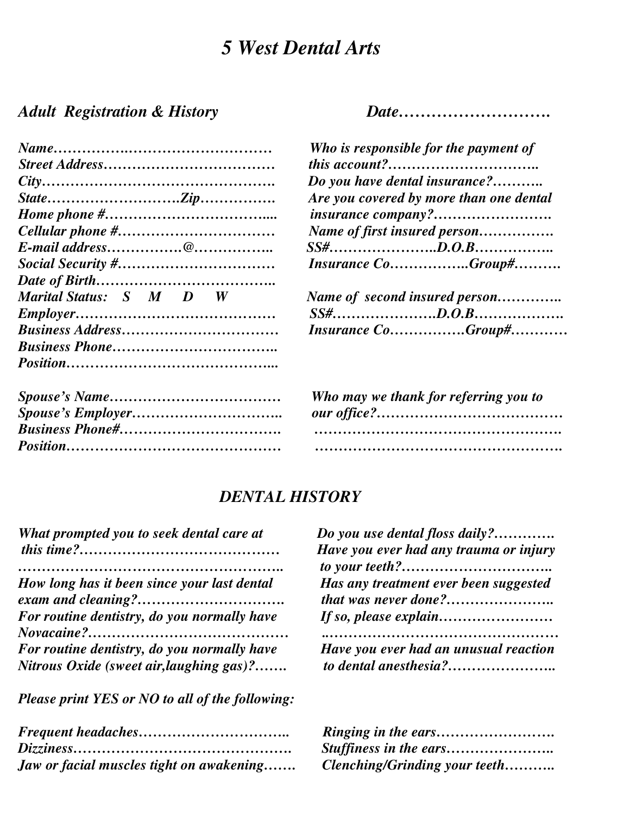## *5 West Dental Arts*

## *Adult Registration & History Date……………………….*

|                         | Who is responsible for the payment of   |
|-------------------------|-----------------------------------------|
|                         |                                         |
|                         | Do you have dental insurance?           |
|                         | Are you covered by more than one dental |
|                         | insurance company?                      |
|                         | Name of first insured person            |
|                         |                                         |
|                         | Insurance CoGroup#                      |
|                         |                                         |
| Marital Status: S M D W | Name of second insured person           |
|                         |                                         |
|                         | Insurance CoGroup#                      |
|                         |                                         |
|                         |                                         |
|                         | Who may we thank for referring you to   |

|                        | <i>who may we mann for referring you to</i> |
|------------------------|---------------------------------------------|
|                        |                                             |
| <b>Business Phone#</b> |                                             |
|                        |                                             |

| Who is responsible for the payment of   |
|-----------------------------------------|
| this account?                           |
| Do you have dental insurance?           |
| Are you covered by more than one dental |
| insurance company?                      |
| Name of first insured person            |
|                                         |
| <b>Insurance CoGroup#</b>               |
|                                         |

| Name of second insured person |
|-------------------------------|
|                               |
| Insurance CoGroup#            |

| Who may we thank for referring you to |
|---------------------------------------|
|                                       |
|                                       |
|                                       |

## *DENTAL HISTORY*

| What prompted you to seek dental care at    | Do you use dental floss daily?         |
|---------------------------------------------|----------------------------------------|
|                                             | Have you ever had any trauma or injury |
|                                             |                                        |
| How long has it been since your last dental | Has any treatment ever been suggested  |
|                                             | that was never done?                   |
| For routine dentistry, do you normally have |                                        |
|                                             |                                        |
| For routine dentistry, do you normally have | Have you ever had an unusual reaction  |
| Nitrous Oxide (sweet air, laughing gas)?    |                                        |

 *Please print YES or NO to all of the following:* 

| Jaw or facial muscles tight on awakening | <b>Clenching/Grinding your teeth</b> |
|------------------------------------------|--------------------------------------|

| Do you use dental floss daily?                                |  |
|---------------------------------------------------------------|--|
| Have you ever had any trauma or injury                        |  |
|                                                               |  |
| Has any treatment ever been suggested<br>that was never done? |  |
|                                                               |  |
| Have you ever had an unusual reaction                         |  |

| Clenching/Grinding your teeth |  |
|-------------------------------|--|